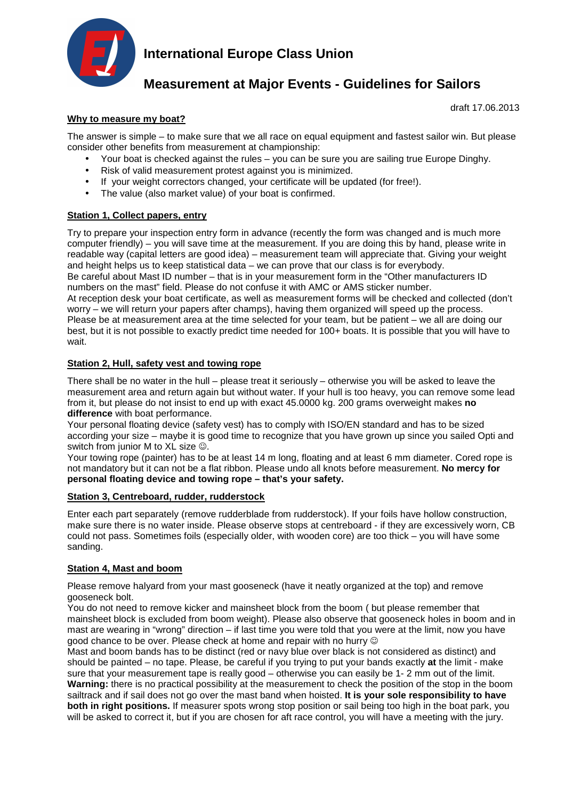

# **International Europe Class Union**

# **Measurement at Major Events - Guidelines for Sailors**

draft 17.06.2013

## **Why to measure my boat?**

The answer is simple – to make sure that we all race on equal equipment and fastest sailor win. But please consider other benefits from measurement at championship:

- Your boat is checked against the rules you can be sure you are sailing true Europe Dinghy.
- Risk of valid measurement protest against you is minimized.
- If your weight correctors changed, your certificate will be updated (for free!).
- The value (also market value) of your boat is confirmed.

## **Station 1, Collect papers, entry**

Try to prepare your inspection entry form in advance (recently the form was changed and is much more computer friendly) – you will save time at the measurement. If you are doing this by hand, please write in readable way (capital letters are good idea) – measurement team will appreciate that. Giving your weight and height helps us to keep statistical data – we can prove that our class is for everybody. Be careful about Mast ID number – that is in your measurement form in the "Other manufacturers ID numbers on the mast" field. Please do not confuse it with AMC or AMS sticker number. At reception desk your boat certificate, as well as measurement forms will be checked and collected (don't worry – we will return your papers after champs), having them organized will speed up the process. Please be at measurement area at the time selected for your team, but be patient – we all are doing our best, but it is not possible to exactly predict time needed for 100+ boats. It is possible that you will have to wait.

## **Station 2, Hull, safety vest and towing rope**

There shall be no water in the hull – please treat it seriously – otherwise you will be asked to leave the measurement area and return again but without water. If your hull is too heavy, you can remove some lead from it, but please do not insist to end up with exact 45.0000 kg. 200 grams overweight makes **no difference** with boat performance.

Your personal floating device (safety vest) has to comply with ISO/EN standard and has to be sized according your size – maybe it is good time to recognize that you have grown up since you sailed Opti and switch from junior M to XL size  $\odot$ .

Your towing rope (painter) has to be at least 14 m long, floating and at least 6 mm diameter. Cored rope is not mandatory but it can not be a flat ribbon. Please undo all knots before measurement. **No mercy for personal floating device and towing rope – that's your safety.** 

### **Station 3, Centreboard, rudder, rudderstock**

Enter each part separately (remove rudderblade from rudderstock). If your foils have hollow construction, make sure there is no water inside. Please observe stops at centreboard - if they are excessively worn, CB could not pass. Sometimes foils (especially older, with wooden core) are too thick – you will have some sanding.

#### **Station 4, Mast and boom**

Please remove halyard from your mast gooseneck (have it neatly organized at the top) and remove gooseneck bolt.

You do not need to remove kicker and mainsheet block from the boom ( but please remember that mainsheet block is excluded from boom weight). Please also observe that gooseneck holes in boom and in mast are wearing in "wrong" direction – if last time you were told that you were at the limit, now you have aood chance to be over. Please check at home and repair with no hurry  $\circledcirc$ 

Mast and boom bands has to be distinct (red or navy blue over black is not considered as distinct) and should be painted – no tape. Please, be careful if you trying to put your bands exactly **at** the limit - make sure that your measurement tape is really good – otherwise you can easily be 1- 2 mm out of the limit. **Warning:** there is no practical possibility at the measurement to check the position of the stop in the boom sailtrack and if sail does not go over the mast band when hoisted. **It is your sole responsibility to have both in right positions.** If measurer spots wrong stop position or sail being too high in the boat park, you will be asked to correct it, but if you are chosen for aft race control, you will have a meeting with the jury.